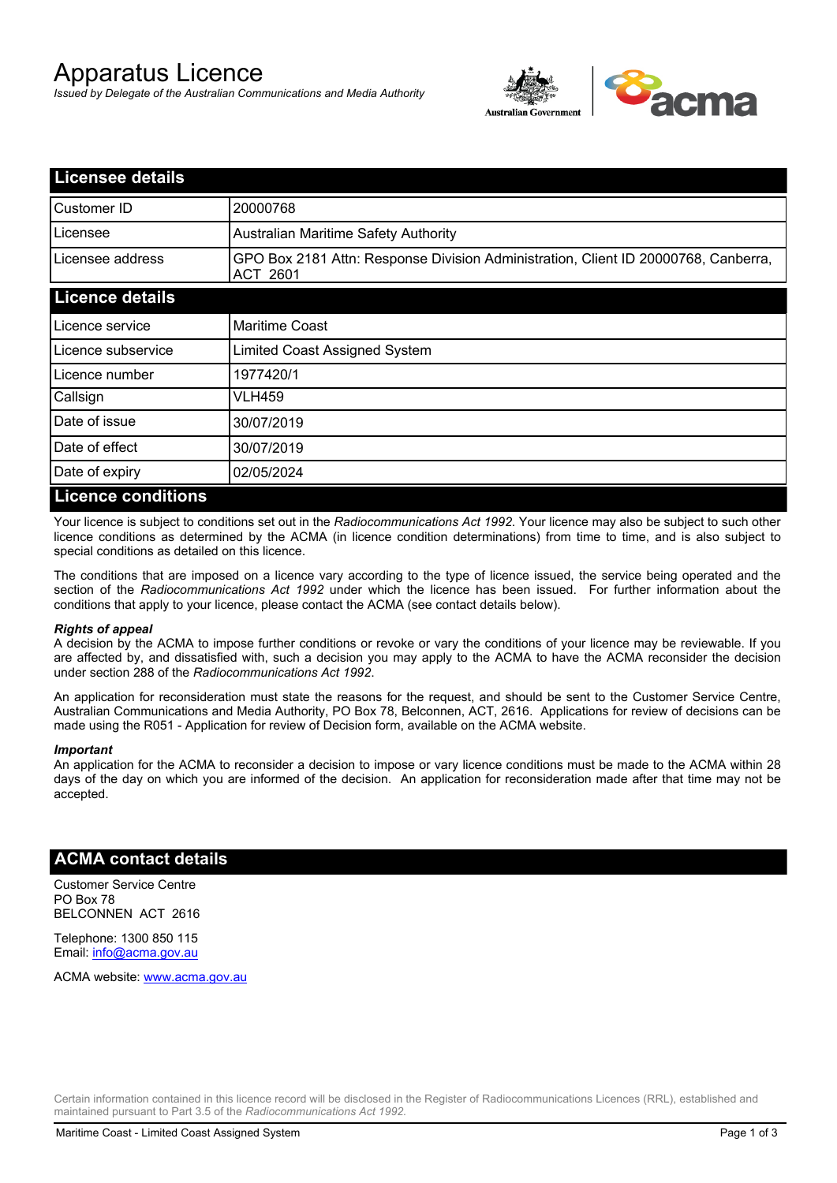# Apparatus Licence

*Issued by Delegate of the Australian Communications and Media Authority*



| <b>Licensee details</b>   |                                                                                                       |
|---------------------------|-------------------------------------------------------------------------------------------------------|
| Customer ID               | 20000768                                                                                              |
| Licensee                  | <b>Australian Maritime Safety Authority</b>                                                           |
| Licensee address          | GPO Box 2181 Attn: Response Division Administration, Client ID 20000768, Canberra,<br><b>ACT 2601</b> |
| <b>Licence details</b>    |                                                                                                       |
| Licence service           | <b>Maritime Coast</b>                                                                                 |
| Licence subservice        | Limited Coast Assigned System                                                                         |
| Licence number            | 1977420/1                                                                                             |
| Callsign                  | VLH459                                                                                                |
| Date of issue             | 30/07/2019                                                                                            |
| Date of effect            | 30/07/2019                                                                                            |
| Date of expiry            | 02/05/2024                                                                                            |
| <b>Licence conditions</b> |                                                                                                       |

Your licence is subject to conditions set out in the *Radiocommunications Act 1992*. Your licence may also be subject to such other licence conditions as determined by the ACMA (in licence condition determinations) from time to time, and is also subject to special conditions as detailed on this licence.

The conditions that are imposed on a licence vary according to the type of licence issued, the service being operated and the section of the *Radiocommunications Act 1992* under which the licence has been issued. For further information about the conditions that apply to your licence, please contact the ACMA (see contact details below).

#### *Rights of appeal*

A decision by the ACMA to impose further conditions or revoke or vary the conditions of your licence may be reviewable. If you are affected by, and dissatisfied with, such a decision you may apply to the ACMA to have the ACMA reconsider the decision under section 288 of the *Radiocommunications Act 1992*.

An application for reconsideration must state the reasons for the request, and should be sent to the Customer Service Centre, Australian Communications and Media Authority, PO Box 78, Belconnen, ACT, 2616. Applications for review of decisions can be made using the R051 - Application for review of Decision form, available on the ACMA website.

#### *Important*

An application for the ACMA to reconsider a decision to impose or vary licence conditions must be made to the ACMA within 28 days of the day on which you are informed of the decision. An application for reconsideration made after that time may not be accepted.

### **ACMA contact details**

Customer Service Centre PO Box 78 BELCONNEN ACT 2616

Telephone: 1300 850 115 Email: info@acma.gov.au

ACMA website: www.acma.gov.au

Certain information contained in this licence record will be disclosed in the Register of Radiocommunications Licences (RRL), established and maintained pursuant to Part 3.5 of the *Radiocommunications Act 1992.*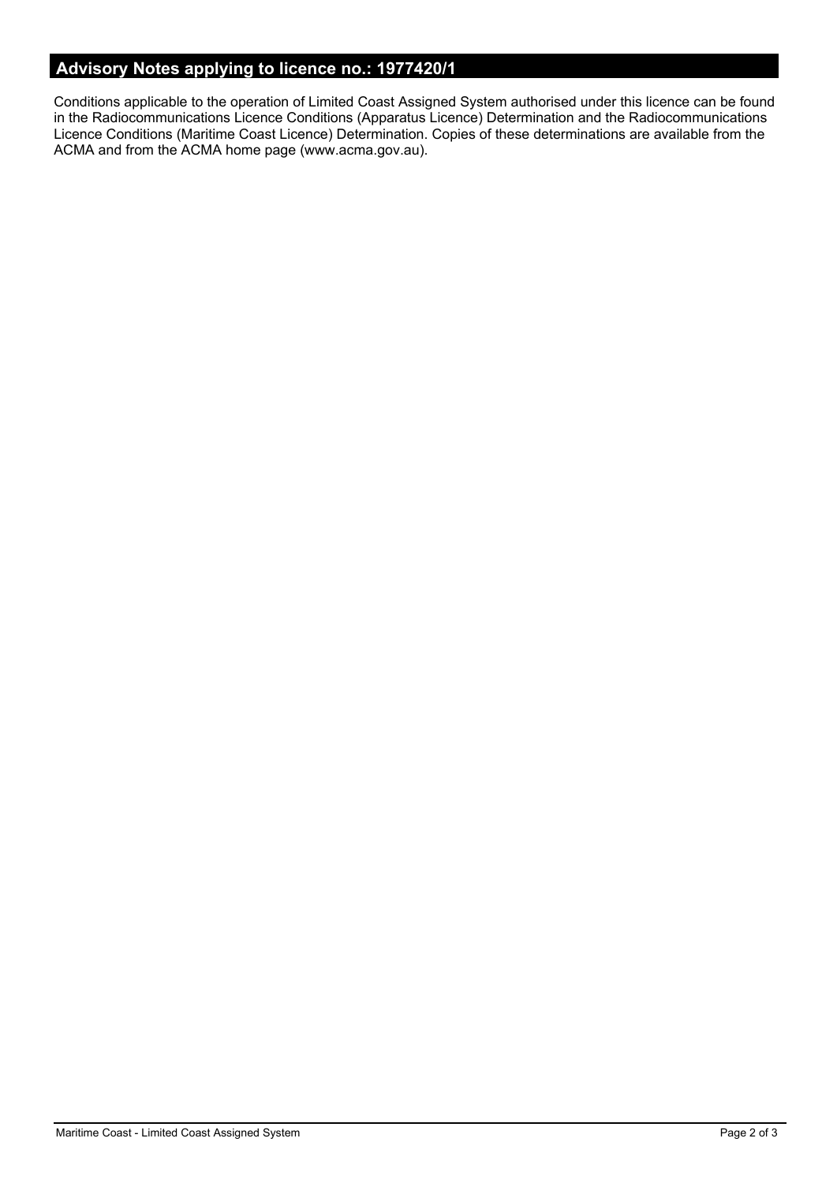## **Advisory Notes applying to licence no.: 1977420/1**

Conditions applicable to the operation of Limited Coast Assigned System authorised under this licence can be found in the Radiocommunications Licence Conditions (Apparatus Licence) Determination and the Radiocommunications Licence Conditions (Maritime Coast Licence) Determination. Copies of these determinations are available from the ACMA and from the ACMA home page (www.acma.gov.au).